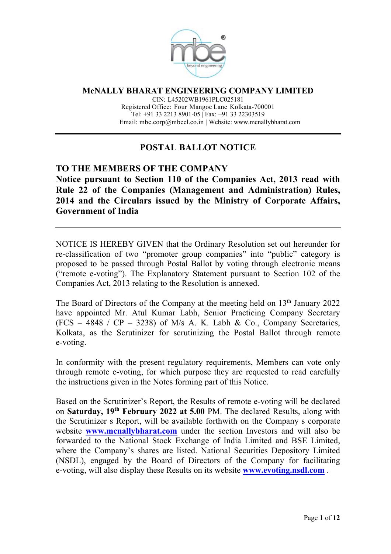

**McNALLY BHARAT ENGINEERING COMPANY LIMITED**

CIN: L45202WB1961PLC025181 Registered Office: Four Mangoe Lane Kolkata-700001 Tel: +91 33 2213 8901-05 | Fax: +91 33 22303519 Email: mbe.corp@mbecl.co.in | Website: www.mcnallybharat.com

# **POSTAL BALLOT NOTICE**

## **TO THE MEMBERS OF THE COMPANY Notice pursuant to Section 110 of the Companies Act, 2013 read with Rule 22 of the Companies (Management and Administration) Rules, 2014 and the Circulars issued by the Ministry of Corporate Affairs, Government of India**

NOTICE IS HEREBY GIVEN that the Ordinary Resolution set out hereunder for re-classification of two "promoter group companies" into "public" category is proposed to be passed through Postal Ballot by voting through electronic means ("remote e-voting"). The Explanatory Statement pursuant to Section 102 of the Companies Act, 2013 relating to the Resolution is annexed.

The Board of Directors of the Company at the meeting held on 13<sup>th</sup> January 2022 have appointed Mr. Atul Kumar Labh, Senior Practicing Company Secretary  $(FCS - 4848 / CP - 3238)$  of M/s A. K. Labh & Co., Company Secretaries, Kolkata, as the Scrutinizer for scrutinizing the Postal Ballot through remote e-voting.

In conformity with the present regulatory requirements, Members can vote only through remote e-voting, for which purpose they are requested to read carefully the instructions given in the Notes forming part of this Notice.

Based on the Scrutinizer's Report, the Results of remote e-voting will be declared on **Saturday, 19th February 2022 at 5.00** PM. The declared Results, along with the Scrutinizer s Report, will be available forthwith on the Company s corporate website **www.mcnallybharat.com** under the section Investors and will also be forwarded to the National Stock Exchange of India Limited and BSE Limited, where the Company's shares are listed. National Securities Depository Limited (NSDL), engaged by the Board of Directors of the Company for facilitating e-voting, will also display these Results on its website **www.evoting.nsdl.com** .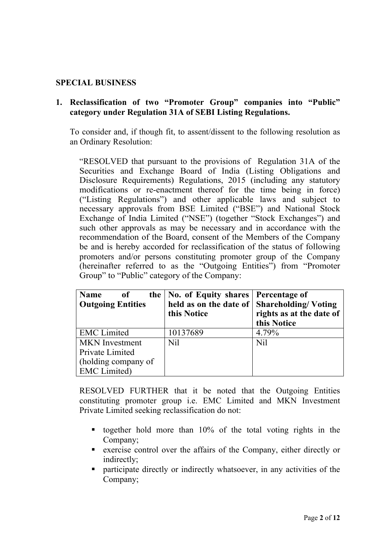## **SPECIAL BUSINESS**

## **1. Reclassification of two "Promoter Group" companies into "Public" category under Regulation 31A of SEBI Listing Regulations.**

To consider and, if though fit, to assent/dissent to the following resolution as an Ordinary Resolution:

"RESOLVED that pursuant to the provisions of Regulation 31A of the Securities and Exchange Board of India (Listing Obligations and Disclosure Requirements) Regulations, 2015 (including any statutory modifications or re-enactment thereof for the time being in force) ("Listing Regulations") and other applicable laws and subject to necessary approvals from BSE Limited ("BSE") and National Stock Exchange of India Limited ("NSE") (together "Stock Exchanges") and such other approvals as may be necessary and in accordance with the recommendation of the Board, consent of the Members of the Company be and is hereby accorded for reclassification of the status of following promoters and/or persons constituting promoter group of the Company (hereinafter referred to as the "Outgoing Entities") from "Promoter Group" to "Public" category of the Company:

| Name<br>0f<br><b>Outgoing Entities</b> | the   No. of Equity shares   Percentage of<br>this Notice | held as on the date of Shareholding/Voting<br>rights as at the date of<br>this Notice |
|----------------------------------------|-----------------------------------------------------------|---------------------------------------------------------------------------------------|
| <b>EMC</b> Limited                     | 10137689                                                  | 4.79%                                                                                 |
| <b>MKN</b> Investment                  | <b>Nil</b>                                                | <b>Nil</b>                                                                            |
| Private Limited                        |                                                           |                                                                                       |
| (holding company of                    |                                                           |                                                                                       |
| <b>EMC</b> Limited)                    |                                                           |                                                                                       |

RESOLVED FURTHER that it be noted that the Outgoing Entities constituting promoter group i.e. EMC Limited and MKN Investment Private Limited seeking reclassification do not:

- **•** together hold more than  $10\%$  of the total voting rights in the Company;
- exercise control over the affairs of the Company, either directly or indirectly;
- participate directly or indirectly whatsoever, in any activities of the Company;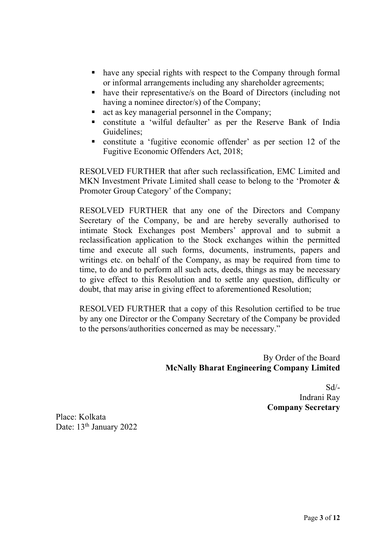- have any special rights with respect to the Company through formal or informal arrangements including any shareholder agreements;
- have their representative/s on the Board of Directors (including not having a nominee director/s) of the Company;
- act as key managerial personnel in the Company;
- § constitute a 'wilful defaulter' as per the Reserve Bank of India Guidelines;
- § constitute a 'fugitive economic offender' as per section 12 of the Fugitive Economic Offenders Act, 2018;

RESOLVED FURTHER that after such reclassification, EMC Limited and MKN Investment Private Limited shall cease to belong to the 'Promoter & Promoter Group Category' of the Company;

RESOLVED FURTHER that any one of the Directors and Company Secretary of the Company, be and are hereby severally authorised to intimate Stock Exchanges post Members' approval and to submit a reclassification application to the Stock exchanges within the permitted time and execute all such forms, documents, instruments, papers and writings etc. on behalf of the Company, as may be required from time to time, to do and to perform all such acts, deeds, things as may be necessary to give effect to this Resolution and to settle any question, difficulty or doubt, that may arise in giving effect to aforementioned Resolution;

RESOLVED FURTHER that a copy of this Resolution certified to be true by any one Director or the Company Secretary of the Company be provided to the persons/authorities concerned as may be necessary."

> By Order of the Board **McNally Bharat Engineering Company Limited**

> > Sd/- Indrani Ray **Company Secretary**

Place: Kolkata Date: 13<sup>th</sup> January 2022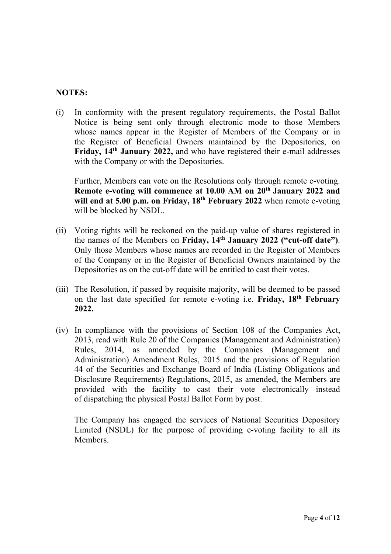### **NOTES:**

(i) In conformity with the present regulatory requirements, the Postal Ballot Notice is being sent only through electronic mode to those Members whose names appear in the Register of Members of the Company or in the Register of Beneficial Owners maintained by the Depositories, on **Friday, 14th January 2022,** and who have registered their e-mail addresses with the Company or with the Depositories.

Further, Members can vote on the Resolutions only through remote e-voting. **Remote e-voting will commence at 10.00 AM on 20th January 2022 and will end at 5.00 p.m. on Friday, 18th February 2022** when remote e-voting will be blocked by NSDL.

- (ii) Voting rights will be reckoned on the paid-up value of shares registered in the names of the Members on **Friday, 14th January 2022 ("cut-off date")**. Only those Members whose names are recorded in the Register of Members of the Company or in the Register of Beneficial Owners maintained by the Depositories as on the cut-off date will be entitled to cast their votes.
- (iii) The Resolution, if passed by requisite majority, will be deemed to be passed on the last date specified for remote e-voting i.e. **Friday, 18th February 2022.**
- (iv) In compliance with the provisions of Section 108 of the Companies Act, 2013, read with Rule 20 of the Companies (Management and Administration) Rules, 2014, as amended by the Companies (Management and Administration) Amendment Rules, 2015 and the provisions of Regulation 44 of the Securities and Exchange Board of India (Listing Obligations and Disclosure Requirements) Regulations, 2015, as amended, the Members are provided with the facility to cast their vote electronically instead of dispatching the physical Postal Ballot Form by post.

The Company has engaged the services of National Securities Depository Limited (NSDL) for the purpose of providing e-voting facility to all its Members.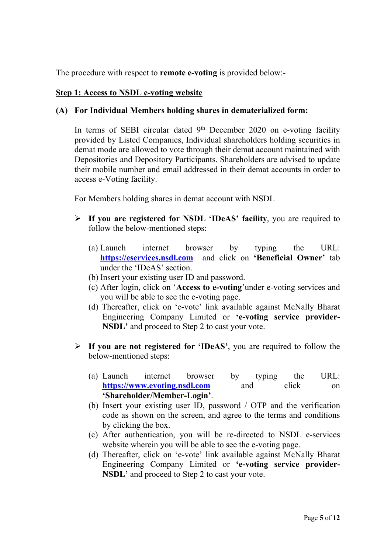The procedure with respect to **remote e-voting** is provided below:-

#### **Step 1: Access to NSDL e-voting website**

### **(A) For Individual Members holding shares in dematerialized form:**

In terms of SEBI circular dated  $9<sup>th</sup>$  December 2020 on e-voting facility provided by Listed Companies, Individual shareholders holding securities in demat mode are allowed to vote through their demat account maintained with Depositories and Depository Participants. Shareholders are advised to update their mobile number and email addressed in their demat accounts in order to access e-Voting facility.

#### For Members holding shares in demat account with NSDL

- Ø **If you are registered for NSDL 'IDeAS' facility**, you are required to follow the below-mentioned steps:
	- (a) Launch internet browser by typing the URL: **https://eservices.nsdl.com** and click on **'Beneficial Owner'** tab under the 'IDeAS' section.
	- (b) Insert your existing user ID and password.
	- (c) After login, click on '**Access to e-voting**'under e-voting services and you will be able to see the e-voting page.
	- (d) Thereafter, click on 'e-vote' link available against McNally Bharat Engineering Company Limited or **'e-voting service provider-NSDL'** and proceed to Step 2 to cast your vote.
- Ø **If you are not registered for 'IDeAS'**, you are required to follow the below-mentioned steps:
	- (a) Launch internet browser by typing the URL: https://www.evoting.nsdl.com and click on **'Shareholder/Member-Login'**.
	- (b) Insert your existing user ID, password / OTP and the verification code as shown on the screen, and agree to the terms and conditions by clicking the box.
	- (c) After authentication, you will be re-directed to NSDL e-services website wherein you will be able to see the e-voting page.
	- (d) Thereafter, click on 'e-vote' link available against McNally Bharat Engineering Company Limited or **'e-voting service provider-NSDL'** and proceed to Step 2 to cast your vote.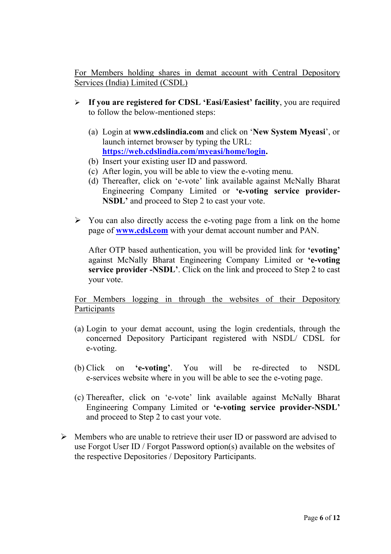For Members holding shares in demat account with Central Depository Services (India) Limited (CSDL)

- Ø **If you are registered for CDSL 'Easi/Easiest' facility**, you are required to follow the below-mentioned steps:
	- (a) Login at **www.cdslindia.com** and click on '**New System Myeasi**', or launch internet browser by typing the URL: **https://web.cdslindia.com/myeasi/home/login.**
	- (b) Insert your existing user ID and password.
	- (c) After login, you will be able to view the e-voting menu.
	- (d) Thereafter, click on 'e-vote' link available against McNally Bharat Engineering Company Limited or **'e-voting service provider-NSDL'** and proceed to Step 2 to cast your vote.
- $\triangleright$  You can also directly access the e-voting page from a link on the home page of **www.cdsl.com** with your demat account number and PAN.

After OTP based authentication, you will be provided link for **'evoting'** against McNally Bharat Engineering Company Limited or **'e-voting service provider -NSDL'**. Click on the link and proceed to Step 2 to cast your vote.

For Members logging in through the websites of their Depository Participants

- (a) Login to your demat account, using the login credentials, through the concerned Depository Participant registered with NSDL/ CDSL for e-voting.
- (b) Click on **'e-voting'**. You will be re-directed to NSDL e-services website where in you will be able to see the e-voting page.
- (c) Thereafter, click on 'e-vote' link available against McNally Bharat Engineering Company Limited or **'e-voting service provider-NSDL'**  and proceed to Step 2 to cast your vote.
- $\triangleright$  Members who are unable to retrieve their user ID or password are advised to use Forgot User ID / Forgot Password option(s) available on the websites of the respective Depositories / Depository Participants.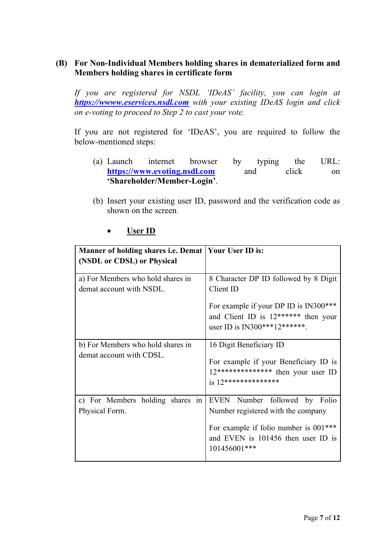## **(B) For Non-Individual Members holding shares in dematerialized form and Members holding shares in certificate form**

*If you are registered for NSDL 'IDeAS' facility, you can login at https://wwww.eservices.nsdl.com with your existing IDeAS login and click on e-voting to proceed to Step 2 to cast your vote.*

If you are not registered for 'IDeAS', you are required to follow the below-mentioned steps:

- (a) Launch internet browser by typing the URL: https://www.evoting.nsdl.com and click on **'Shareholder/Member-Login'**.
- (b) Insert your existing user ID, password and the verification code as shown on the screen.

#### • **User ID**

| Manner of holding shares i.e. Demat                           | <b>Your User ID is:</b>                                                                                                                                               |  |
|---------------------------------------------------------------|-----------------------------------------------------------------------------------------------------------------------------------------------------------------------|--|
| (NSDL or CDSL) or Physical                                    |                                                                                                                                                                       |  |
| a) For Members who hold shares in<br>demat account with NSDL. | 8 Character DP ID followed by 8 Digit<br>Client ID<br>For example if your DP ID is IN300***<br>and Client ID is 12****** then your<br>user ID is $IN300***12******$ . |  |
| b) For Members who hold shares in<br>demat account with CDSL. | 16 Digit Beneficiary ID<br>For example if your Beneficiary ID is<br>12************** then your user ID<br>$is 12**********************$                               |  |
| c) For Members holding shares in<br>Physical Form.            | EVEN Number followed by Folio<br>Number registered with the company<br>For example if folio number is 001***<br>and EVEN is 101456 then user ID is<br>101456001***    |  |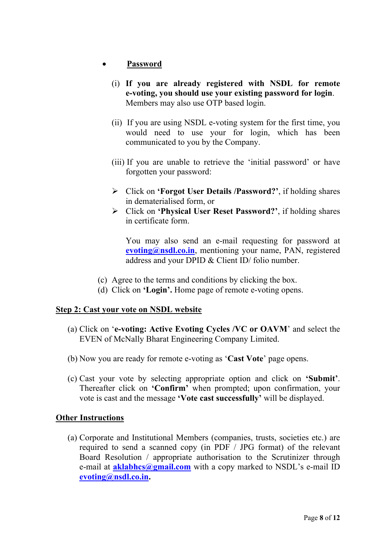## • **Password**

- (i) **If you are already registered with NSDL for remote e-voting, you should use your existing password for login**. Members may also use OTP based login.
- (ii) If you are using NSDL e-voting system for the first time, you would need to use your for login, which has been communicated to you by the Company.
- (iii) If you are unable to retrieve the 'initial password' or have forgotten your password:
- Ø Click on **'Forgot User Details /Password?'**, if holding shares in dematerialised form, or
- Ø Click on **'Physical User Reset Password?'**, if holding shares in certificate form.

You may also send an e-mail requesting for password at **evoting@nsdl.co.in**, mentioning your name, PAN, registered address and your DPID & Client ID/ folio number.

- (c) Agree to the terms and conditions by clicking the box.
- (d) Click on **'Login'.** Home page of remote e-voting opens.

## **Step 2: Cast your vote on NSDL website**

- (a) Click on '**e-voting: Active Evoting Cycles /VC or OAVM**' and select the EVEN of McNally Bharat Engineering Company Limited.
- (b) Now you are ready for remote e-voting as '**Cast Vote**' page opens.
- (c) Cast your vote by selecting appropriate option and click on **'Submit'**. Thereafter click on **'Confirm'** when prompted; upon confirmation, your vote is cast and the message **'Vote cast successfully'** will be displayed.

## **Other Instructions**

(a) Corporate and Institutional Members (companies, trusts, societies etc.) are required to send a scanned copy (in PDF / JPG format) of the relevant Board Resolution / appropriate authorisation to the Scrutinizer through e-mail at **aklabhcs@gmail.com** with a copy marked to NSDL's e-mail ID **evoting@nsdl.co.in.**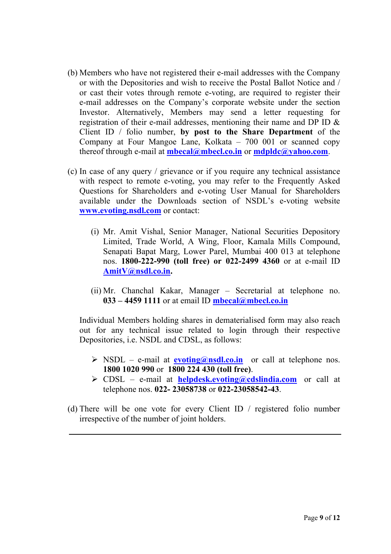- (b) Members who have not registered their e-mail addresses with the Company or with the Depositories and wish to receive the Postal Ballot Notice and / or cast their votes through remote e-voting, are required to register their e-mail addresses on the Company's corporate website under the section Investor. Alternatively, Members may send a letter requesting for registration of their e-mail addresses, mentioning their name and DP ID & Client ID / folio number, **by post to the Share Department** of the Company at Four Mangoe Lane, Kolkata – 700 001 or scanned copy thereof through e-mail at **mbecal@mbecl.co.in** or **mdpldc@yahoo.com**.
- (c) In case of any query / grievance or if you require any technical assistance with respect to remote e-voting, you may refer to the Frequently Asked Questions for Shareholders and e-voting User Manual for Shareholders available under the Downloads section of NSDL's e-voting website **www.evoting.nsdl.com** or contact:
	- (i) Mr. Amit Vishal, Senior Manager, National Securities Depository Limited, Trade World, A Wing, Floor, Kamala Mills Compound, Senapati Bapat Marg, Lower Parel, Mumbai 400 013 at telephone nos. **1800-222-990 (toll free) or 022-2499 4360** or at e-mail ID **AmitV@nsdl.co.in.**
	- (ii) Mr. Chanchal Kakar, Manager Secretarial at telephone no. **033 – 4459 1111** or at email ID **mbecal@mbecl.co.in**

Individual Members holding shares in dematerialised form may also reach out for any technical issue related to login through their respective Depositories, i.e. NSDL and CDSL, as follows:

- $\triangleright$  NSDL e-mail at **evoting@nsdl.co.in** or call at telephone nos. **1800 1020 990** or **1800 224 430 (toll free)**.
- Ø CDSL e-mail at **helpdesk.evoting@cdslindia.com** or call at telephone nos. **022- 23058738** or **022-23058542-43**.
- (d) There will be one vote for every Client ID / registered folio number irrespective of the number of joint holders.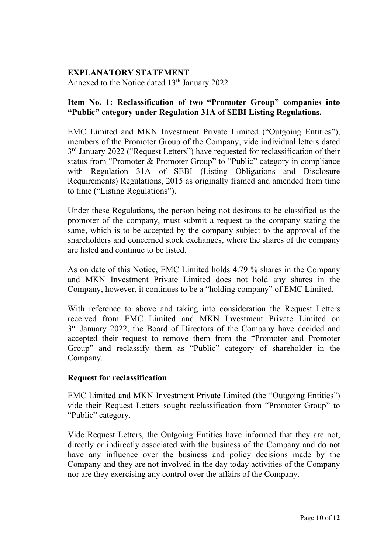### **EXPLANATORY STATEMENT**

Annexed to the Notice dated 13<sup>th</sup> January 2022

## **Item No. 1: Reclassification of two "Promoter Group" companies into "Public" category under Regulation 31A of SEBI Listing Regulations.**

EMC Limited and MKN Investment Private Limited ("Outgoing Entities"), members of the Promoter Group of the Company, vide individual letters dated 3rd January 2022 ("Request Letters") have requested for reclassification of their status from "Promoter & Promoter Group" to "Public" category in compliance with Regulation 31A of SEBI (Listing Obligations and Disclosure Requirements) Regulations, 2015 as originally framed and amended from time to time ("Listing Regulations").

Under these Regulations, the person being not desirous to be classified as the promoter of the company, must submit a request to the company stating the same, which is to be accepted by the company subject to the approval of the shareholders and concerned stock exchanges, where the shares of the company are listed and continue to be listed.

As on date of this Notice, EMC Limited holds 4.79 % shares in the Company and MKN Investment Private Limited does not hold any shares in the Company, however, it continues to be a "holding company" of EMC Limited.

With reference to above and taking into consideration the Request Letters received from EMC Limited and MKN Investment Private Limited on 3<sup>rd</sup> January 2022, the Board of Directors of the Company have decided and accepted their request to remove them from the "Promoter and Promoter Group" and reclassify them as "Public" category of shareholder in the Company.

#### **Request for reclassification**

EMC Limited and MKN Investment Private Limited (the "Outgoing Entities") vide their Request Letters sought reclassification from "Promoter Group" to "Public" category.

Vide Request Letters, the Outgoing Entities have informed that they are not, directly or indirectly associated with the business of the Company and do not have any influence over the business and policy decisions made by the Company and they are not involved in the day today activities of the Company nor are they exercising any control over the affairs of the Company.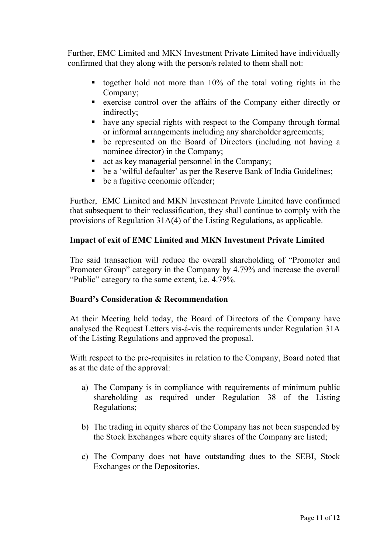Further, EMC Limited and MKN Investment Private Limited have individually confirmed that they along with the person/s related to them shall not:

- $\blacksquare$  together hold not more than 10% of the total voting rights in the Company;
- exercise control over the affairs of the Company either directly or indirectly;
- § have any special rights with respect to the Company through formal or informal arrangements including any shareholder agreements;
- § be represented on the Board of Directors (including not having a nominee director) in the Company;
- act as key managerial personnel in the Company;
- be a 'wilful defaulter' as per the Reserve Bank of India Guidelines;
- be a fugitive economic offender;

Further, EMC Limited and MKN Investment Private Limited have confirmed that subsequent to their reclassification, they shall continue to comply with the provisions of Regulation 31A(4) of the Listing Regulations, as applicable.

## **Impact of exit of EMC Limited and MKN Investment Private Limited**

The said transaction will reduce the overall shareholding of "Promoter and Promoter Group" category in the Company by 4.79% and increase the overall "Public" category to the same extent, i.e. 4.79%.

## **Board's Consideration & Recommendation**

At their Meeting held today, the Board of Directors of the Company have analysed the Request Letters vis-á-vis the requirements under Regulation 31A of the Listing Regulations and approved the proposal.

With respect to the pre-requisites in relation to the Company, Board noted that as at the date of the approval:

- a) The Company is in compliance with requirements of minimum public shareholding as required under Regulation 38 of the Listing Regulations;
- b) The trading in equity shares of the Company has not been suspended by the Stock Exchanges where equity shares of the Company are listed;
- c) The Company does not have outstanding dues to the SEBI, Stock Exchanges or the Depositories.